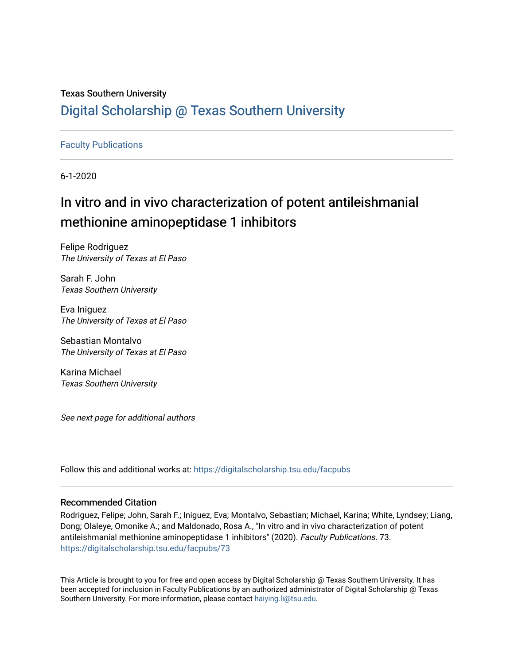## Texas Southern University [Digital Scholarship @ Texas Southern University](https://digitalscholarship.tsu.edu/)

## [Faculty Publications](https://digitalscholarship.tsu.edu/facpubs)

6-1-2020

# In vitro and in vivo characterization of potent antileishmanial methionine aminopeptidase 1 inhibitors

Felipe Rodriguez The University of Texas at El Paso

Sarah F. John Texas Southern University

Eva Iniguez The University of Texas at El Paso

Sebastian Montalvo The University of Texas at El Paso

Karina Michael Texas Southern University

See next page for additional authors

Follow this and additional works at: [https://digitalscholarship.tsu.edu/facpubs](https://digitalscholarship.tsu.edu/facpubs?utm_source=digitalscholarship.tsu.edu%2Ffacpubs%2F73&utm_medium=PDF&utm_campaign=PDFCoverPages) 

### Recommended Citation

Rodriguez, Felipe; John, Sarah F.; Iniguez, Eva; Montalvo, Sebastian; Michael, Karina; White, Lyndsey; Liang, Dong; Olaleye, Omonike A.; and Maldonado, Rosa A., "In vitro and in vivo characterization of potent antileishmanial methionine aminopeptidase 1 inhibitors" (2020). Faculty Publications. 73. [https://digitalscholarship.tsu.edu/facpubs/73](https://digitalscholarship.tsu.edu/facpubs/73?utm_source=digitalscholarship.tsu.edu%2Ffacpubs%2F73&utm_medium=PDF&utm_campaign=PDFCoverPages)

This Article is brought to you for free and open access by Digital Scholarship @ Texas Southern University. It has been accepted for inclusion in Faculty Publications by an authorized administrator of Digital Scholarship @ Texas Southern University. For more information, please contact [haiying.li@tsu.edu](mailto:haiying.li@tsu.edu).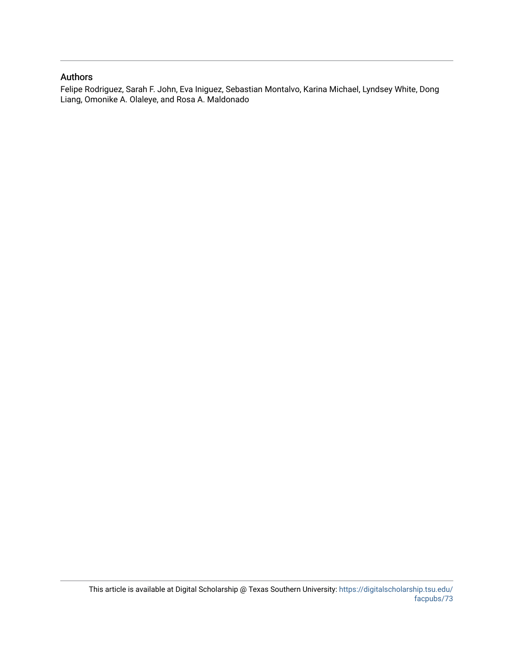### Authors

Felipe Rodriguez, Sarah F. John, Eva Iniguez, Sebastian Montalvo, Karina Michael, Lyndsey White, Dong Liang, Omonike A. Olaleye, and Rosa A. Maldonado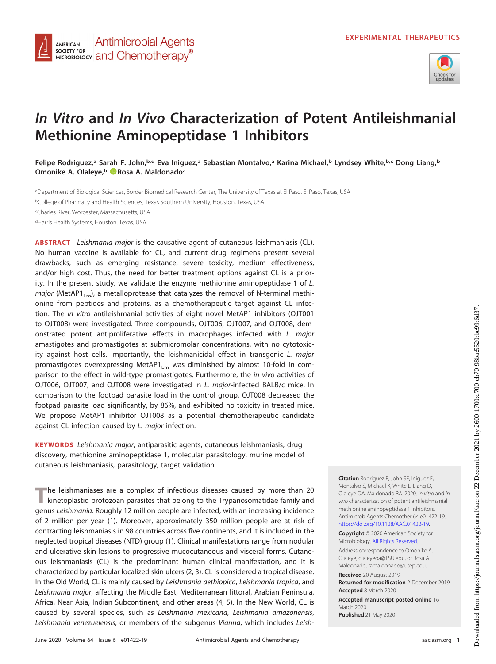

## **In Vitro and In Vivo Characterization of Potent Antileishmanial Methionine Aminopeptidase 1 Inhibitors**

**Felipe Rodriguez,a Sarah F. John,b,d Eva Iniguez,a Sebastian Montalvo,a Karina Michael,b Lyndsey White,b,c Dong Liang,b Omonike A. Olaleye,b [Rosa A. Maldonadoa](https://orcid.org/0000-0003-3180-7192)**

aDepartment of Biological Sciences, Border Biomedical Research Center, The University of Texas at El Paso, El Paso, Texas, USA <sup>b</sup>College of Pharmacy and Health Sciences, Texas Southern University, Houston, Texas, USA c Charles River, Worcester, Massachusetts, USA <sup>d</sup>Harris Health Systems, Houston, Texas, USA

**Antimicrobial Agents** 

MICROBIOLOGY **and Chemotherapy**<sup>®</sup>

**AMERICAN SOCIETY FOR** 

**ABSTRACT** Leishmania major is the causative agent of cutaneous leishmaniasis (CL). No human vaccine is available for CL, and current drug regimens present several drawbacks, such as emerging resistance, severe toxicity, medium effectiveness, and/or high cost. Thus, the need for better treatment options against CL is a priority. In the present study, we validate the enzyme methionine aminopeptidase 1 of L. major (MetAP1<sub>Lm</sub>), a metalloprotease that catalyzes the removal of N-terminal methionine from peptides and proteins, as a chemotherapeutic target against CL infection. The in vitro antileishmanial activities of eight novel MetAP1 inhibitors (OJT001 to OJT008) were investigated. Three compounds, OJT006, OJT007, and OJT008, demonstrated potent antiproliferative effects in macrophages infected with L. major amastigotes and promastigotes at submicromolar concentrations, with no cytotoxicity against host cells. Importantly, the leishmanicidal effect in transgenic L. major promastigotes overexpressing MetAP1<sub>Lm</sub> was diminished by almost 10-fold in comparison to the effect in wild-type promastigotes. Furthermore, the in vivo activities of OJT006, OJT007, and OJT008 were investigated in L. major-infected BALB/c mice. In comparison to the footpad parasite load in the control group, OJT008 decreased the footpad parasite load significantly, by 86%, and exhibited no toxicity in treated mice. We propose MetAP1 inhibitor OJT008 as a potential chemotherapeutic candidate against CL infection caused by L. major infection.

**KEYWORDS** Leishmania major, antiparasitic agents, cutaneous leishmaniasis, drug discovery, methionine aminopeptidase 1, molecular parasitology, murine model of cutaneous leishmaniasis, parasitology, target validation

**T**he leishmaniases are a complex of infectious diseases caused by more than 20 kinetoplastid protozoan parasites that belong to the Trypanosomatidae family and genus Leishmania. Roughly 12 million people are infected, with an increasing incidence of 2 million per year [\(1\)](#page-11-0). Moreover, approximately 350 million people are at risk of contracting leishmaniasis in 98 countries across five continents, and it is included in the neglected tropical diseases (NTD) group [\(1\)](#page-11-0). Clinical manifestations range from nodular and ulcerative skin lesions to progressive mucocutaneous and visceral forms. Cutaneous leishmaniasis (CL) is the predominant human clinical manifestation, and it is characterized by particular localized skin ulcers [\(2,](#page-11-1) [3\)](#page-11-2). CL is considered a tropical disease. In the Old World, CL is mainly caused by Leishmania aethiopica, Leishmania tropica, and Leishmania major, affecting the Middle East, Mediterranean littoral, Arabian Peninsula, Africa, Near Asia, Indian Subcontinent, and other areas [\(4,](#page-11-3) [5\)](#page-11-4). In the New World, CL is caused by several species, such as Leishmania mexicana, Leishmania amazonensis, Leishmania venezuelensis, or members of the subgenus Vianna, which includes Leish-

**Citation** Rodriguez F, John SF, Iniguez E, Montalvo S, Michael K, White L, Liang D, Olaleye OA, Maldonado RA. 2020. In vitro and in vivo characterization of potent antileishmanial methionine aminopeptidase 1 inhibitors. Antimicrob Agents Chemother 64:e01422-19. [https://doi.org/10.1128/AAC.01422-19.](https://doi.org/10.1128/AAC.01422-19)

**Copyright** © 2020 American Society for Microbiology. [All Rights Reserved.](https://doi.org/10.1128/ASMCopyrightv2)

Address correspondence to Omonike A. Olaleye, [olaleyeoa@TSU.edu,](mailto:olaleyeoa@TSU.edu) or Rosa A. Maldonado, [ramaldonado@utep.edu.](mailto:ramaldonado@utep.edu)

**Received** 20 August 2019 **Returned for modification** 2 December 2019 **Accepted** 8 March 2020

**Accepted manuscript posted online** 16 March 2020 **Published** 21 May 2020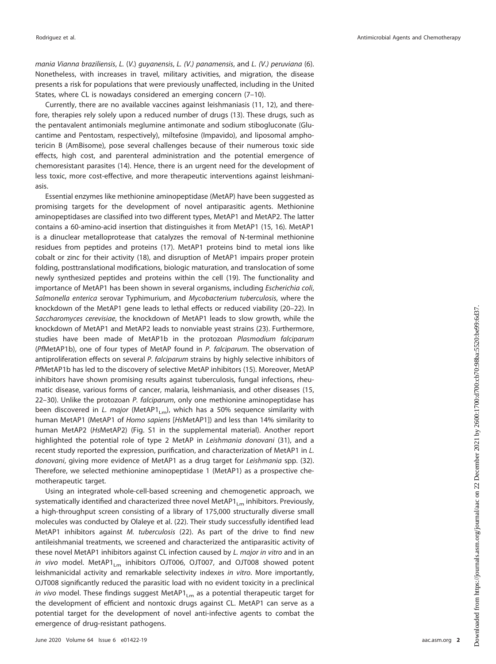mania Vianna braziliensis, L. (V.) guyanensis, L. (V.) panamensis, and L. (V.) peruviana [\(6\)](#page-11-5). Nonetheless, with increases in travel, military activities, and migration, the disease presents a risk for populations that were previously unaffected, including in the United States, where CL is nowadays considered an emerging concern [\(7](#page-11-6)[–](#page-11-7)[10\)](#page-11-8).

Currently, there are no available vaccines against leishmaniasis [\(11,](#page-11-9) [12\)](#page-11-10), and therefore, therapies rely solely upon a reduced number of drugs [\(13\)](#page-11-11). These drugs, such as the pentavalent antimonials meglumine antimonate and sodium stibogluconate (Glucantime and Pentostam, respectively), miltefosine (Impavido), and liposomal amphotericin B (AmBisome), pose several challenges because of their numerous toxic side effects, high cost, and parenteral administration and the potential emergence of chemoresistant parasites [\(14\)](#page-11-12). Hence, there is an urgent need for the development of less toxic, more cost-effective, and more therapeutic interventions against leishmaniasis.

Essential enzymes like methionine aminopeptidase (MetAP) have been suggested as promising targets for the development of novel antiparasitic agents. Methionine aminopeptidases are classified into two different types, MetAP1 and MetAP2. The latter contains a 60-amino-acid insertion that distinguishes it from MetAP1 [\(15,](#page-11-13) [16\)](#page-11-14). MetAP1 is a dinuclear metalloprotease that catalyzes the removal of N-terminal methionine residues from peptides and proteins [\(17\)](#page-11-15). MetAP1 proteins bind to metal ions like cobalt or zinc for their activity [\(18\)](#page-11-16), and disruption of MetAP1 impairs proper protein folding, posttranslational modifications, biologic maturation, and translocation of some newly synthesized peptides and proteins within the cell [\(19\)](#page-11-17). The functionality and importance of MetAP1 has been shown in several organisms, including Escherichia coli, Salmonella enterica serovar Typhimurium, and Mycobacterium tuberculosis, where the knockdown of the MetAP1 gene leads to lethal effects or reduced viability [\(20](#page-11-18)[–](#page-11-19)[22\)](#page-11-20). In Saccharomyces cerevisiae, the knockdown of MetAP1 leads to slow growth, while the knockdown of MetAP1 and MetAP2 leads to nonviable yeast strains [\(23\)](#page-11-21). Furthermore, studies have been made of MetAP1b in the protozoan Plasmodium falciparum (PfMetAP1b), one of four types of MetAP found in P. falciparum. The observation of antiproliferation effects on several P. falciparum strains by highly selective inhibitors of PfMetAP1b has led to the discovery of selective MetAP inhibitors [\(15\)](#page-11-13). Moreover, MetAP inhibitors have shown promising results against tuberculosis, fungal infections, rheumatic disease, various forms of cancer, malaria, leishmaniasis, and other diseases [\(15,](#page-11-13) [22](#page-11-20)[–](#page-11-22)[30\)](#page-11-23). Unlike the protozoan P. falciparum, only one methionine aminopeptidase has been discovered in L. major (MetAP1<sub>Lm</sub>), which has a 50% sequence similarity with human MetAP1 (MetAP1 of Homo sapiens [HsMetAP1]) and less than 14% similarity to human MetAP2 (HsMetAP2) (Fig. S1 in the supplemental material). Another report highlighted the potential role of type 2 MetAP in Leishmania donovani [\(31\)](#page-11-24), and a recent study reported the expression, purification, and characterization of MetAP1 in L. donovani, giving more evidence of MetAP1 as a drug target for Leishmania spp. [\(32\)](#page-11-25). Therefore, we selected methionine aminopeptidase 1 (MetAP1) as a prospective chemotherapeutic target.

Using an integrated whole-cell-based screening and chemogenetic approach, we systematically identified and characterized three novel MetAP $1_{lm}$  inhibitors. Previously, a high-throughput screen consisting of a library of 175,000 structurally diverse small molecules was conducted by Olaleye et al. [\(22\)](#page-11-20). Their study successfully identified lead MetAP1 inhibitors against M. tuberculosis [\(22\)](#page-11-20). As part of the drive to find new antileishmanial treatments, we screened and characterized the antiparasitic activity of these novel MetAP1 inhibitors against CL infection caused by L. major in vitro and in an in vivo model. MetAP1 $_{\text{Lm}}$  inhibitors OJT006, OJT007, and OJT008 showed potent leishmanicidal activity and remarkable selectivity indexes in vitro. More importantly, OJT008 significantly reduced the parasitic load with no evident toxicity in a preclinical in vivo model. These findings suggest MetAP1 $_{\text{Lm}}$  as a potential therapeutic target for the development of efficient and nontoxic drugs against CL. MetAP1 can serve as a potential target for the development of novel anti-infective agents to combat the emergence of drug-resistant pathogens.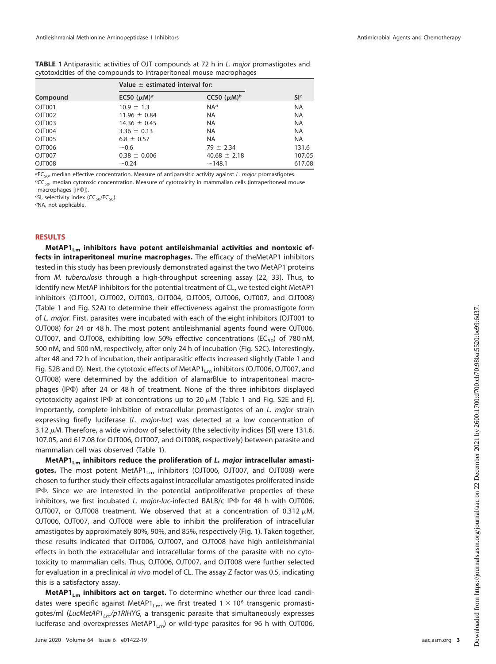<span id="page-4-0"></span>**TABLE 1** Antiparasitic activities of OJT compounds at 72 h in L. major promastigotes and cytotoxicities of the compounds to intraperitoneal mouse macrophages

| Compound | Value $\pm$ estimated interval for: |                  |                |
|----------|-------------------------------------|------------------|----------------|
|          | EC50 $(\mu M)^a$                    | CC50 $(\mu M)^b$ | S <sup>c</sup> |
| OJT001   | $10.9 \pm 1.3$                      | NA <sup>d</sup>  | <b>NA</b>      |
| OJT002   | $11.96 \pm 0.84$                    | <b>NA</b>        | <b>NA</b>      |
| OJT003   | $14.36 \pm 0.45$                    | <b>NA</b>        | <b>NA</b>      |
| OJT004   | $3.36 \pm 0.13$                     | <b>NA</b>        | <b>NA</b>      |
| OJT005   | $6.8 \pm 0.57$                      | <b>NA</b>        | <b>NA</b>      |
| OJT006   | ~0.6                                | $79 \pm 2.34$    | 131.6          |
| OJT007   | $0.38 \pm 0.006$                    | $40.68 \pm 2.18$ | 107.05         |
| OJT008   | ~10.24                              | ~148.1           | 617.08         |

 ${}^{\alpha}E C_{50}$ , median effective concentration. Measure of antiparasitic activity against L. major promastigotes.

 ${}^bCC_{50}$ , median cytotoxic concentration. Measure of cytotoxicity in mammalian cells (intraperitoneal mouse macrophages [IP $\Phi$ ]).

<sup>c</sup>SI, selectivity index (CC<sub>50</sub>/EC<sub>50</sub>).

dNA, not applicable.

#### **RESULTS**

MetAP1<sub>1</sub><sub>m</sub> inhibitors have potent antileishmanial activities and nontoxic ef**fects in intraperitoneal murine macrophages.** The efficacy of theMetAP1 inhibitors tested in this study has been previously demonstrated against the two MetAP1 proteins from M. tuberculosis through a high-throughput screening assay [\(22,](#page-11-20) [33\)](#page-11-26). Thus, to identify new MetAP inhibitors for the potential treatment of CL, we tested eight MetAP1 inhibitors (OJT001, OJT002, OJT003, OJT004, OJT005, OJT006, OJT007, and OJT008) [\(Table 1](#page-4-0) and Fig. S2A) to determine their effectiveness against the promastigote form of L. major. First, parasites were incubated with each of the eight inhibitors (OJT001 to OJT008) for 24 or 48 h. The most potent antileishmanial agents found were OJT006, OJT007, and OJT008, exhibiting low 50% effective concentrations ( $EC_{50}$ ) of 780 nM, 500 nM, and 500 nM, respectively, after only 24 h of incubation (Fig. S2C). Interestingly, after 48 and 72 h of incubation, their antiparasitic effects increased slightly [\(Table 1](#page-4-0) and Fig. S2B and D). Next, the cytotoxic effects of MetAP1<sub>Lm</sub> inhibitors (OJT006, OJT007, and OJT008) were determined by the addition of alamarBlue to intraperitoneal macrophages (IP $\Phi$ ) after 24 or 48 h of treatment. None of the three inhibitors displayed cytotoxicity against IP $\Phi$  at concentrations up to 20  $\mu$ M [\(Table 1](#page-4-0) and Fig. S2E and F). Importantly, complete inhibition of extracellular promastigotes of an L. major strain expressing firefly luciferase (L. major-luc) was detected at a low concentration of 3.12  $\mu$ M. Therefore, a wide window of selectivity (the selectivity indices [SI] were 131.6, 107.05, and 617.08 for OJT006, OJT007, and OJT008, respectively) between parasite and mammalian cell was observed [\(Table 1\)](#page-4-0).

MetAP1<sub>Lm</sub> inhibitors reduce the proliferation of *L. major* intracellular amastigotes. The most potent MetAP1<sub>Lm</sub> inhibitors (OJT006, OJT007, and OJT008) were chosen to further study their effects against intracellular amastigotes proliferated inside IP $\Phi$ . Since we are interested in the potential antiproliferative properties of these inhibitors, we first incubated L. major-luc-infected BALB/c IP $\Phi$  for 48 h with OJT006, OJT007, or OJT008 treatment. We observed that at a concentration of 0.312  $\mu$ M, OJT006, OJT007, and OJT008 were able to inhibit the proliferation of intracellular amastigotes by approximately 80%, 90%, and 85%, respectively [\(Fig. 1\)](#page-5-0). Taken together, these results indicated that OJT006, OJT007, and OJT008 have high antileishmanial effects in both the extracellular and intracellular forms of the parasite with no cytotoxicity to mammalian cells. Thus, OJT006, OJT007, and OJT008 were further selected for evaluation in a preclinical in vivo model of CL. The assay Z factor was 0.5, indicating this is a satisfactory assay.

MetAP1<sub>Lm</sub> inhibitors act on target. To determine whether our three lead candidates were specific against MetAP1<sub>Lm</sub>, we first treated  $1 \times 10^6$  transgenic promastigotes/ml (LucMetAP1<sub>Lm</sub>/p1RlHYG, a transgenic parasite that simultaneously expresses luciferase and overexpresses MetAP1<sub>Lm</sub>) or wild-type parasites for 96 h with OJT006,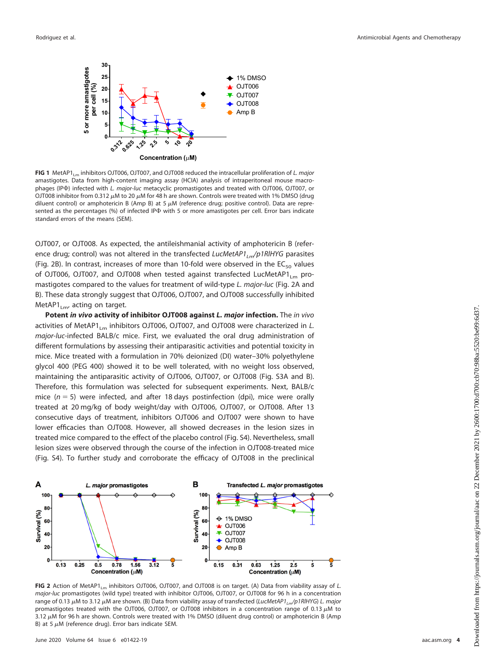

<span id="page-5-0"></span>**FIG 1** MetAP1<sub>Lm</sub> inhibitors OJT006, OJT007, and OJT008 reduced the intracellular proliferation of *L. major* amastigotes. Data from high-content imaging assay (HCIA) analysis of intraperitoneal mouse macrophages (IPФ) infected with L. major-luc metacyclic promastigotes and treated with OJT006, OJT007, or OJT008 inhibitor from 0.312  $\mu$ M to 20  $\mu$ M for 48 h are shown. Controls were treated with 1% DMSO (drug diluent control) or amphotericin B (Amp B) at 5  $\mu$ M (reference drug; positive control). Data are represented as the percentages (%) of infected IP $\Phi$  with 5 or more amastigotes per cell. Error bars indicate standard errors of the means (SEM).

OJT007, or OJT008. As expected, the antileishmanial activity of amphotericin B (reference drug; control) was not altered in the transfected LucMetAP1<sub>Lm</sub>/p1RlHYG parasites [\(Fig. 2B\)](#page-5-1). In contrast, increases of more than 10-fold were observed in the  $EC_{50}$  values of OJT006, OJT007, and OJT008 when tested against transfected LucMetAP1<sub>Lm</sub> promastigotes compared to the values for treatment of wild-type L. major-luc [\(Fig. 2A](#page-5-1) and [B\)](#page-5-1). These data strongly suggest that OJT006, OJT007, and OJT008 successfully inhibited  $MetAP1_{Lm}$ , acting on target.

**Potent** *in vivo* **activity of inhibitor OJT008 against** *L. major* **infection.** The in vivo activities of MetAP1<sub>Lm</sub> inhibitors OJT006, OJT007, and OJT008 were characterized in *L*. major-luc-infected BALB/c mice. First, we evaluated the oral drug administration of different formulations by assessing their antiparasitic activities and potential toxicity in mice. Mice treated with a formulation in 70% deionized (DI) water–30% polyethylene glycol 400 (PEG 400) showed it to be well tolerated, with no weight loss observed, maintaining the antiparasitic activity of OJT006, OJT007, or OJT008 (Fig. S3A and B). Therefore, this formulation was selected for subsequent experiments. Next, BALB/c mice  $(n = 5)$  were infected, and after 18 days postinfection (dpi), mice were orally treated at 20 mg/kg of body weight/day with OJT006, OJT007, or OJT008. After 13 consecutive days of treatment, inhibitors OJT006 and OJT007 were shown to have lower efficacies than OJT008. However, all showed decreases in the lesion sizes in treated mice compared to the effect of the placebo control (Fig. S4). Nevertheless, small lesion sizes were observed through the course of the infection in OJT008-treated mice (Fig. S4). To further study and corroborate the efficacy of OJT008 in the preclinical



<span id="page-5-1"></span>**FIG 2** Action of MetAP1<sub>Lm</sub> inhibitors OJT006, OJT007, and OJT008 is on target. (A) Data from viability assay of L. major-luc promastigotes (wild type) treated with inhibitor OJT006, OJT007, or OJT008 for 96 h in a concentration range of 0.13  $\mu$ M to 3.12  $\mu$ M are shown. (B) Data from viability assay of transfected (LucMetAP1<sub>Lm</sub>/p1RlHYG) L. major promastigotes treated with the OJT006, OJT007, or OJT008 inhibitors in a concentration range of 0.13  $\mu$ M to 3.12  $\mu$ M for 96 h are shown. Controls were treated with 1% DMSO (diluent drug control) or amphotericin B (Amp B) at 5  $\mu$ M (reference drug). Error bars indicate SEM.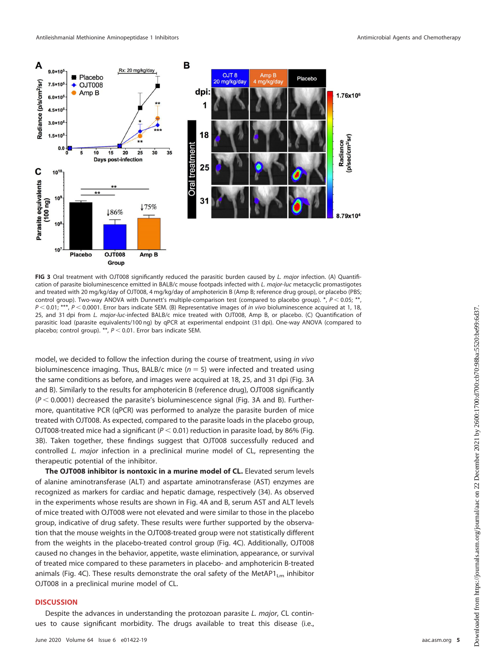

<span id="page-6-0"></span>**FIG 3** Oral treatment with OJT008 significantly reduced the parasitic burden caused by L. major infection. (A) Quantification of parasite bioluminescence emitted in BALB/c mouse footpads infected with L. major-luc metacyclic promastigotes and treated with 20 mg/kg/day of OJT008, 4 mg/kg/day of amphotericin B (Amp B; reference drug group), or placebo (PBS; control group). Two-way ANOVA with Dunnett's multiple-comparison test (compared to placebo group).  $*$ ,  $P < 0.05;$   $*$  $P < 0.01$ ; \*\*\*,  $P < 0.0001$ . Error bars indicate SEM. (B) Representative images of in vivo bioluminescence acquired at 1, 18, 25, and 31 dpi from L. major-luc-infected BALB/c mice treated with OJT008, Amp B, or placebo. (C) Quantification of parasitic load (parasite equivalents/100 ng) by qPCR at experimental endpoint (31 dpi). One-way ANOVA (compared to placebo; control group). \*\*,  $P < 0.01$ . Error bars indicate SEM.

model, we decided to follow the infection during the course of treatment, using in vivo bioluminescence imaging. Thus, BALB/c mice ( $n = 5$ ) were infected and treated using the same conditions as before, and images were acquired at 18, 25, and 31 dpi [\(Fig. 3A](#page-6-0) and [B\)](#page-6-0). Similarly to the results for amphotericin B (reference drug), OJT008 significantly  $(P < 0.0001)$  decreased the parasite's bioluminescence signal [\(Fig. 3A](#page-6-0) and [B\)](#page-6-0). Furthermore, quantitative PCR (qPCR) was performed to analyze the parasite burden of mice treated with OJT008. As expected, compared to the parasite loads in the placebo group, OJT008-treated mice had a significant ( $P < 0.01$ ) reduction in parasite load, by 86% [\(Fig.](#page-6-0) [3B\)](#page-6-0). Taken together, these findings suggest that OJT008 successfully reduced and controlled L. major infection in a preclinical murine model of CL, representing the therapeutic potential of the inhibitor.

**The OJT008 inhibitor is nontoxic in a murine model of CL.** Elevated serum levels of alanine aminotransferase (ALT) and aspartate aminotransferase (AST) enzymes are recognized as markers for cardiac and hepatic damage, respectively [\(34\)](#page-11-27). As observed in the experiments whose results are shown in [Fig. 4A](#page-7-0) and [B,](#page-7-0) serum AST and ALT levels of mice treated with OJT008 were not elevated and were similar to those in the placebo group, indicative of drug safety. These results were further supported by the observation that the mouse weights in the OJT008-treated group were not statistically different from the weights in the placebo-treated control group [\(Fig. 4C\)](#page-7-0). Additionally, OJT008 caused no changes in the behavior, appetite, waste elimination, appearance, or survival of treated mice compared to these parameters in placebo- and amphotericin B-treated animals [\(Fig. 4C\)](#page-7-0). These results demonstrate the oral safety of the MetAP1 $_{\text{Lm}}$  inhibitor OJT008 in a preclinical murine model of CL.

#### **DISCUSSION**

Despite the advances in understanding the protozoan parasite L. major, CL continues to cause significant morbidity. The drugs available to treat this disease (i.e.,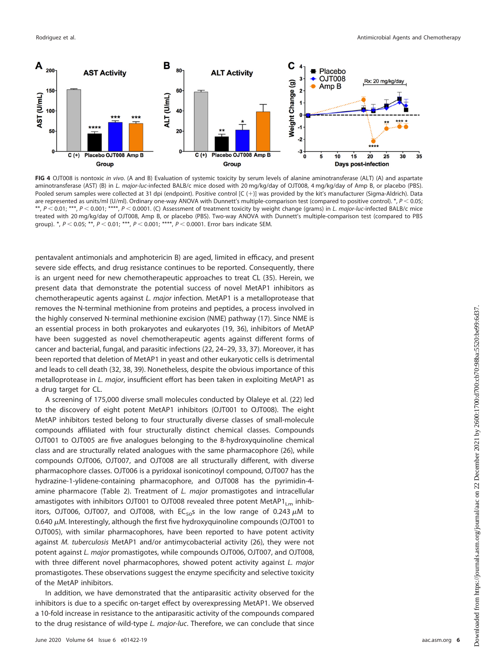

<span id="page-7-0"></span>**FIG 4** OJT008 is nontoxic in vivo. (A and B) Evaluation of systemic toxicity by serum levels of alanine aminotransferase (ALT) (A) and aspartate aminotransferase (AST) (B) in L. major-luc-infected BALB/c mice dosed with 20 mg/kg/day of OJT008, 4 mg/kg/day of Amp B, or placebo (PBS). Pooled serum samples were collected at 31 dpi (endpoint). Positive control [C (+)] was provided by the kit's manufacturer (Sigma-Aldrich). Data are represented as units/ml (U/ml). Ordinary one-way ANOVA with Dunnett's multiple-comparison test (compared to positive control). \*,  $P < 0.05$ ; \*\*,  $P < 0.01$ ; \*\*\*,  $P < 0.001$ ; \*\*\*\*,  $P < 0.0001$ . (C) Assessment of treatment toxicity by weight change (grams) in L. major-luc-infected BALB/c mice treated with 20 mg/kg/day of OJT008, Amp B, or placebo (PBS). Two-way ANOVA with Dunnett's multiple-comparison test (compared to PBS group). \*,  $P < 0.05$ ; \*\*,  $P < 0.01$ ; \*\*\*,  $P < 0.001$ ; \*\*\*\*,  $P < 0.0001$ . Error bars indicate SEM.

pentavalent antimonials and amphotericin B) are aged, limited in efficacy, and present severe side effects, and drug resistance continues to be reported. Consequently, there is an urgent need for new chemotherapeutic approaches to treat CL [\(35\)](#page-11-28). Herein, we present data that demonstrate the potential success of novel MetAP1 inhibitors as chemotherapeutic agents against L. major infection. MetAP1 is a metalloprotease that removes the N-terminal methionine from proteins and peptides, a process involved in the highly conserved N-terminal methionine excision (NME) pathway [\(17\)](#page-11-15). Since NME is an essential process in both prokaryotes and eukaryotes [\(19,](#page-11-17) [36\)](#page-11-29), inhibitors of MetAP have been suggested as novel chemotherapeutic agents against different forms of cancer and bacterial, fungal, and parasitic infections [\(22,](#page-11-20) [24](#page-11-30)[–](#page-11-31)[29,](#page-11-22) [33,](#page-11-26) [37\)](#page-11-32). Moreover, it has been reported that deletion of MetAP1 in yeast and other eukaryotic cells is detrimental and leads to cell death [\(32,](#page-11-25) [38,](#page-11-33) [39\)](#page-12-0). Nonetheless, despite the obvious importance of this metalloprotease in L. major, insufficient effort has been taken in exploiting MetAP1 as a drug target for CL.

A screening of 175,000 diverse small molecules conducted by Olaleye et al. [\(22\)](#page-11-20) led to the discovery of eight potent MetAP1 inhibitors (OJT001 to OJT008). The eight MetAP inhibitors tested belong to four structurally diverse classes of small-molecule compounds affiliated with four structurally distinct chemical classes. Compounds OJT001 to OJT005 are five analogues belonging to the 8-hydroxyquinoline chemical class and are structurally related analogues with the same pharmacophore [\(26\)](#page-11-34), while compounds OJT006, OJT007, and OJT008 are all structurally different, with diverse pharmacophore classes. OJT006 is a pyridoxal isonicotinoyl compound, OJT007 has the hydrazine-1-ylidene-containing pharmacophore, and OJT008 has the pyrimidin-4- amine pharmacore [\(Table 2\)](#page-8-0). Treatment of  $L$ . *major* promastigotes and intracellular amastigotes with inhibitors OJT001 to OJT008 revealed three potent MetAP1<sub>Lm</sub> inhibitors, OJT006, OJT007, and OJT008, with  $EC_{50}$ s in the low range of 0.243  $\mu$ M to 0.640  $\mu$ M. Interestingly, although the first five hydroxyquinoline compounds (OJT001 to OJT005), with similar pharmacophores, have been reported to have potent activity against M. tuberculosis MetAP1 and/or antimycobacterial activity [\(26\)](#page-11-34), they were not potent against L. major promastigotes, while compounds OJT006, OJT007, and OJT008, with three different novel pharmacophores, showed potent activity against L. major promastigotes. These observations suggest the enzyme specificity and selective toxicity of the MetAP inhibitors.

In addition, we have demonstrated that the antiparasitic activity observed for the inhibitors is due to a specific on-target effect by overexpressing MetAP1. We observed a 10-fold increase in resistance to the antiparasitic activity of the compounds compared to the drug resistance of wild-type L. major-luc. Therefore, we can conclude that since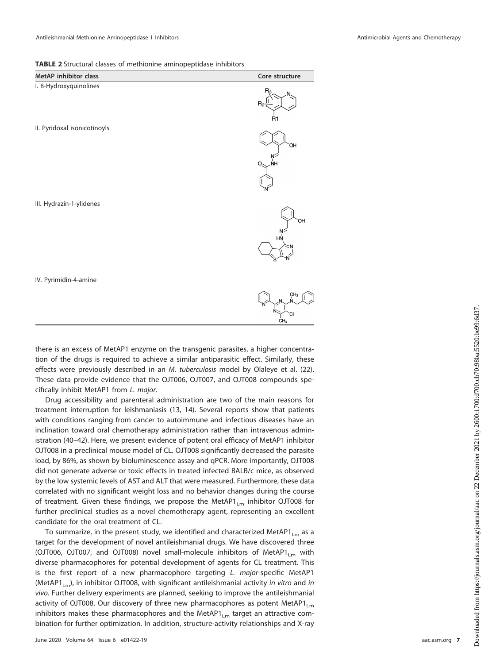<span id="page-8-0"></span>**TABLE 2** Structural classes of methionine aminopeptidase inhibitors

| MetAP inhibitor class        | Core structure             |
|------------------------------|----------------------------|
| I. 8-Hydroxyquinolines       | $R_2$ -<br>R1              |
| II. Pyridoxal isonicotinoyls | OH<br>ŃΗ<br>Ο              |
| III. Hydrazin-1-ylidenes     | ЮH<br>HŃ                   |
| IV. Pyrimidin-4-amine        | CH <sub>3</sub><br>M.<br>M |

there is an excess of MetAP1 enzyme on the transgenic parasites, a higher concentration of the drugs is required to achieve a similar antiparasitic effect. Similarly, these effects were previously described in an M. tuberculosis model by Olaleye et al. [\(22\)](#page-11-20). These data provide evidence that the OJT006, OJT007, and OJT008 compounds specifically inhibit MetAP1 from L. major.

Drug accessibility and parenteral administration are two of the main reasons for treatment interruption for leishmaniasis [\(13,](#page-11-11) [14\)](#page-11-12). Several reports show that patients with conditions ranging from cancer to autoimmune and infectious diseases have an inclination toward oral chemotherapy administration rather than intravenous administration [\(40](#page-12-1)[–](#page-12-2)[42\)](#page-12-3). Here, we present evidence of potent oral efficacy of MetAP1 inhibitor OJT008 in a preclinical mouse model of CL. OJT008 significantly decreased the parasite load, by 86%, as shown by bioluminescence assay and qPCR. More importantly, OJT008 did not generate adverse or toxic effects in treated infected BALB/c mice, as observed by the low systemic levels of AST and ALT that were measured. Furthermore, these data correlated with no significant weight loss and no behavior changes during the course of treatment. Given these findings, we propose the MetAP1<sub>Lm</sub> inhibitor OJT008 for further preclinical studies as a novel chemotherapy agent, representing an excellent candidate for the oral treatment of CL.

To summarize, in the present study, we identified and characterized MetAP1<sub>Lm</sub> as a target for the development of novel antileishmanial drugs. We have discovered three (OJT006, OJT007, and OJT008) novel small-molecule inhibitors of MetAP1<sub>Lm</sub> with diverse pharmacophores for potential development of agents for CL treatment. This is the first report of a new pharmacophore targeting L. major-specific MetAP1 (MetAP1<sub>Lm</sub>), in inhibitor OJT008, with significant antileishmanial activity in vitro and in vivo. Further delivery experiments are planned, seeking to improve the antileishmanial activity of OJT008. Our discovery of three new pharmacophores as potent MetAP1 $_{\text{Lm}}$ inhibitors makes these pharmacophores and the MetAP1 $_{\text{Lm}}$  target an attractive combination for further optimization. In addition, structure-activity relationships and X-ray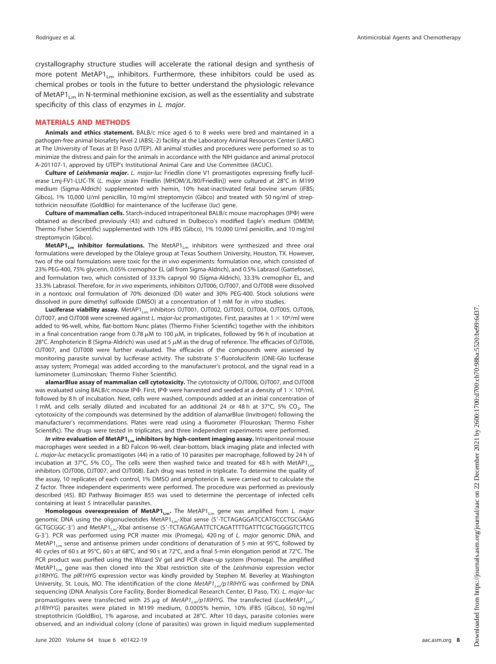crystallography structure studies will accelerate the rational design and synthesis of more potent MetAP1<sub>Lm</sub> inhibitors. Furthermore, these inhibitors could be used as chemical probes or tools in the future to better understand the physiologic relevance of MetAP1<sub>Lm</sub> in N-terminal methionine excision, as well as the essentiality and substrate specificity of this class of enzymes in L. major.

#### **MATERIALS AND METHODS**

**Animals and ethics statement.** BALB/c mice aged 6 to 8 weeks were bred and maintained in a pathogen-free animal biosafety level 2 (ABSL-2) facility at the Laboratory Animal Resources Center (LARC) at The University of Texas at El Paso (UTEP). All animal studies and procedures were performed so as to minimize the distress and pain for the animals in accordance with the NIH guidance and animal protocol A-201107-1, approved by UTEP's Institutional Animal Care and Use Committee (IACUC).

**Culture of** *Leishmania major***.** L. major-luc Friedlin clone V1 promastigotes expressing firefly luciferase Lmj-FV1-LUC-TK (L. major strain Friedlin [MHOM/JL/80/Friedlin]) were cultured at 28°C in M199 medium (Sigma-Aldrich) supplemented with hemin, 10% heat-inactivated fetal bovine serum (iFBS; Gibco), 1% 10,000 U/ml penicillin, 10 mg/ml streptomycin (Gibco) and treated with 50 ng/ml of streptothricin neosulfate (GoldBio) for maintenance of the luciferase (luc) gene.

**Culture of mammalian cells.** Starch-induced intraperitoneal BALB/c mouse macrophages (IP $\Phi$ ) were obtained as described previously [\(43\)](#page-12-4) and cultured in Dulbecco's modified Eagle's medium (DMEM; Thermo Fisher Scientific) supplemented with 10% iFBS (Gibco), 1% 10,000 U/ml penicillin, and 10 mg/ml streptomycin (Gibco).

MetAP1<sub>Lm</sub> inhibitor formulations. The MetAP1<sub>Lm</sub> inhibitors were synthesized and three oral formulations were developed by the Olaleye group at Texas Southern University, Houston, TX. However, two of the oral formulations were toxic for the in vivo experiments: formulation one, which consisted of 23% PEG-400, 75% glycerin, 0.05% cremophor EL (all from Sigma-Aldrich), and 0.5% Labrasol (Gattefosse), and formulation two, which consisted of 33.3% capryol 90 (Sigma-Aldrich), 33.3% cremophor EL, and 33.3% Labrasol. Therefore, for in vivo experiments, inhibitors OJT006, OJT007, and OJT008 were dissolved in a nontoxic oral formulation of 70% deionized (DI) water and 30% PEG-400. Stock solutions were dissolved in pure dimethyl sulfoxide (DMSO) at a concentration of 1 mM for in vitro studies.

Luciferase viability assay. MetAP1<sub>Lm</sub> inhibitors OJT001, OJT002, OJT003, OJT004, OJT005, OJT006, OJT007, and OJT008 were screened against L. major-luc promastigotes. First, parasites at  $1 \times 10^6$ /ml were added to 96-well, white, flat-bottom Nunc plates (Thermo Fisher Scientific) together with the inhibitors in a final concentration range from 0.78  $\mu$ M to 100  $\mu$ M, in triplicates, followed by 96 h of incubation at 28°C. Amphotericin B (Sigma-Aldrich) was used at 5  $\mu$ M as the drug of reference. The efficacies of OJT006, OJT007, and OJT008 were further evaluated. The efficacies of the compounds were assessed by monitoring parasite survival by luciferase activity. The substrate 5'-fluoroluciferin (ONE-Glo luciferase assay system; Promega) was added according to the manufacturer's protocol, and the signal read in a luminometer (Luminoskan; Thermo Fisher Scientific).

**alamarBlue assay of mammalian cell cytotoxicity.** The cytotoxicity of OJT006, OJT007, and OJT008 was evaluated using BALB/c mouse IP $\Phi$ . First, IP $\Phi$  were harvested and seeded at a density of  $1 \times 10^6$ /ml, followed by 8 h of incubation. Next, cells were washed, compounds added at an initial concentration of 1 mM, and cells serially diluted and incubated for an additional 24 or 48 h at 37°C, 5% CO<sub>2</sub>. The cytotoxicity of the compounds was determined by the addition of alamarBlue (Invitrogen) following the manufacturer's recommendations. Plates were read using a fluorometer (Flouroskan; Thermo Fisher Scientific). The drugs were tested in triplicates, and three independent experiments were performed.

In vitro evaluation of MetAP1<sub>Lm</sub> inhibitors by high-content imaging assay. Intraperitoneal mouse macrophages were seeded in a BD Falcon 96-well, clear-bottom, black imaging plate and infected with L. major-luc metacyclic promastigotes [\(44\)](#page-12-5) in a ratio of 10 parasites per macrophage, followed by 24 h of incubation at 37°C, 5% CO<sub>2</sub>. The cells were then washed twice and treated for 48 h with MetAP1<sub>Lm</sub> inhibitors (OJT006, OJT007, and OJT008). Each drug was tested in triplicate. To determine the quality of the assay, 10 replicates of each control, 1% DMSO and amphotericin B, were carried out to calculate the Z factor. Three independent experiments were performed. The procedure was performed as previously described [\(45\)](#page-12-6). BD Pathway Bioimager 855 was used to determine the percentage of infected cells containing at least 5 intracellular parasites.

Homologous overexpression of MetAP1<sub>Lm</sub>. The MetAP1<sub>Lm</sub> gene was amplified from L. major genomic DNA using the oligonucleotides MetAP1<sub>Lm</sub>-XbaI sense (5'-TCTAGAGGATCCATGCCCTGCGAAG GCTGCGGC-3') and MetAP1<sub>Lm</sub>-XbaI antisense (5'-TCTAGAGAATTCTCAGATTTTGATTTCGCTGGGGTCTTCG G-3'). PCR was performed using PCR master mix (Promega), 420 ng of L. major genomic DNA, and MetAP1<sub>Lm</sub> sense and antisense primers under conditions of denaturation of 5 min at 95°C, followed by 40 cycles of 60 s at 95°C, 60 s at 68°C, and 90 s at 72°C, and a final 5-min elongation period at 72°C. The PCR product was purified using the Wizard SV gel and PCR clean-up system (Promega). The amplified MetAP1<sub>1m</sub> gene was then cloned into the XbaI restriction site of the Leishmania expression vector p1RlHYG. The plR1HYG expression vector was kindly provided by Stephen M. Beverley at Washington University, St. Louis, MO. The identification of the clone  $MetAPI_{lm}/p1RIHYG$  was confirmed by DNA sequencing (DNA Analysis Core Facility, Border Biomedical Research Center, El Paso, TX). L. major-luc promastigotes were transfected with 25  $\mu$ g of MetAP1 $_{Lm}/$ p1RlHYG. The transfected (LucMetAP1 $_{Lm}/$ p1RlHYG) parasites were plated in M199 medium, 0.0005% hemin, 10% iFBS (Gibco), 50 ng/ml streptothricin (GoldBio), 1% agarose, and incubated at 28°C. After 10 days, parasite colonies were observed, and an individual colony (clone of parasites) was grown in liquid medium supplemented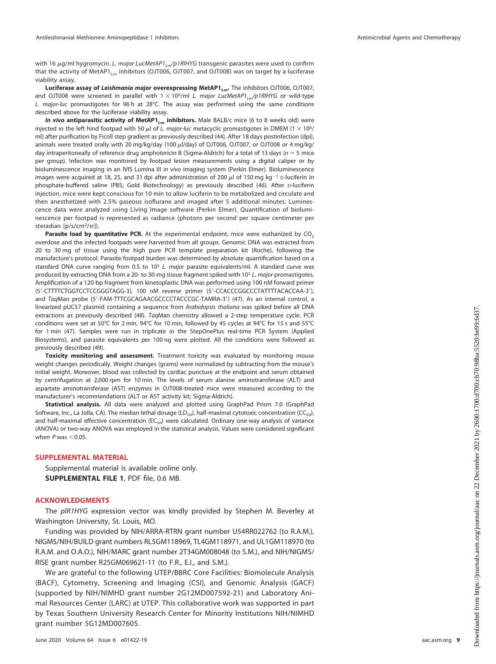with 16  $\mu$ g/ml hygromycin. *L. major LucMetAP1<sub>Lm</sub>/p1RIHYG* transgenic parasites were used to confirm that the activity of MetAP1<sub>1m</sub> inhibitors (OJT006, OJT007, and OJT008) was on target by a luciferase viability assay.

Luciferase assay of *Leishmania major* overexpressing MetAP1<sub>Lm</sub>. The inhibitors OJT006, OJT007, and OJT008 were screened in parallel with  $1 \times 10^6$ /ml L. major LucMetAP1<sub>Lm</sub>/p1RlHYG or wild-type L. major-luc promastigotes for 96 h at 28°C. The assay was performed using the same conditions described above for the luciferase viability assay.

**In vivo antiparasitic activity of MetAP1<sub>Lm</sub> inhibitors.** Male BALB/c mice (6 to 8 weeks old) were injected in the left hind footpad with 50  $\mu$ l of L. major-luc metacyclic promastigotes in DMEM (1  $\times$  10<sup>6</sup>/ ml) after purification by Ficoll step gradient as previously described [\(44\)](#page-12-5). After 18 days postinfection (dpi), animals were treated orally with 20 mg/kg/day (100  $\mu$ l/day) of OJT006, OJT007, or OJT008 or 4 mg/kg/ day intraperitoneally of reference drug amphotericin B (Sigma-Aldrich) for a total of 13 days ( $n = 5$  mice per group). Infection was monitored by footpad lesion measurements using a digital caliper or by bioluminescence imaging in an IVIS Lumina III in vivo imaging system (Perkin Elmer). Bioluminescence images were acquired at 18, 25, and 31 dpi after administration of 200  $\mu$ l of 150 mg kg<sup>-1</sup> D-luciferin in phosphate-buffered saline (PBS; Gold Biotechnology) as previously described [\(46\)](#page-12-7). After D-luciferin injection, mice were kept conscious for 10 min to allow luciferin to be metabolized and circulate and then anesthetized with 2.5% gaseous isoflurane and imaged after 5 additional minutes. Luminescence data were analyzed using Living Image software (Perkin Elmer). Quantification of bioluminescence per footpad is represented as radiance (photons per second per square centimeter per steradian [p/s/cm<sup>2</sup>/sr]).

**Parasite load by quantitative PCR.** At the experimental endpoint, mice were euthanized by  $CO<sub>2</sub>$ overdose and the infected footpads were harvested from all groups. Genomic DNA was extracted from 20 to 30 mg of tissue using the high pure PCR template preparation kit (Roche), following the manufacture's protocol. Parasite footpad burden was determined by absolute quantification based on a standard DNA curve ranging from 0.5 to 10<sup>5</sup> L. major parasite equivalents/ml. A standard curve was produced by extracting DNA from a 20- to 30-mg tissue fragment spiked with 10<sup>5</sup> L. major promastigotes. Amplification of a 120-bp fragment from kinetoplastic DNA was performed using 100 nM forward primer (5'-CTTTTCTGGTCCTCCGGGTAGG-3), 100 nM reverse primer (5'-CCACCCGGCCCTATTTTACACCAA-3'), and TaqMan probe (5'-FAM-TTTCGCAGAACGCCCCTACCCGC-TAMRA-3') [\(47\)](#page-12-8). As an internal control, a linearized pUC57 plasmid containing a sequence from Arabidopsis thaliana was spiked before all DNA extractions as previously described [\(48\)](#page-12-9). TaqMan chemistry allowed a 2-step temperature cycle. PCR conditions were set at 50°C for 2 min, 94°C for 10 min, followed by 45 cycles at 94°C for 15 s and 55°C for 1 min [\(47\)](#page-12-8). Samples were run in triplicate in the StepOnePlus real-time PCR System (Applied Biosystems), and parasite equivalents per 100 ng were plotted. All the conditions were followed as previously described [\(49\)](#page-12-10).

**Toxicity monitoring and assessment.** Treatment toxicity was evaluated by monitoring mouse weight changes periodically. Weight changes (grams) were normalized by subtracting from the mouse's initial weight. Moreover, blood was collected by cardiac puncture at the endpoint and serum obtained by centrifugation at 2,000 rpm for 10 min. The levels of serum alanine aminotransferase (ALT) and aspartate aminotransferase (AST) enzymes in OJT008-treated mice were measured according to the manufacturer's recommendations (ALT or AST activity kit; Sigma-Aldrich).

**Statistical analysis.** All data were analyzed and plotted using GraphPad Prism 7.0 (GraphPad Software, Inc., La Jolla, CA). The median lethal dosage (LD<sub>50</sub>), half-maximal cytotoxic concentration (CC<sub>50</sub>), and half-maximal effective concentration ( $EC_{50}$ ) were calculated. Ordinary one-way analysis of variance (ANOVA) or two-way ANOVA was employed in the statistical analysis. Values were considered significant when  $P$  was  $<$  0.05.

#### **SUPPLEMENTAL MATERIAL**

Supplemental material is available online only. **SUPPLEMENTAL FILE 1**, PDF file, 0.6 MB.

#### **ACKNOWLEDGMENTS**

The plR1HYG expression vector was kindly provided by Stephen M. Beverley at Washington University, St. Louis, MO.

Funding was provided by NIH/ARRA-RTRN grant number U54RR022762 (to R.A.M.), NIGMS/NIH/BUILD grant numbers RL5GM118969, TL4GM118971, and UL1GM118970 (to R.A.M. and O.A.O.), NIH/MARC grant number 2T34GM008048 (to S.M.), and NIH/NIGMS/ RISE grant number R25GM069621-11 (to F.R., E.I., and S.M.).

We are grateful to the following UTEP/BBRC Core Facilities: Biomolecule Analysis (BACF), Cytometry, Screening and Imaging (CSI), and Genomic Analysis (GACF) (supported by NIH/NIMHD grant number 2G12MD007592-21) and Laboratory Animal Resources Center (LARC) at UTEP. This collaborative work was supported in part by Texas Southern University Research Center for Minority Institutions NIH/NIMHD grant number 5G12MD007605.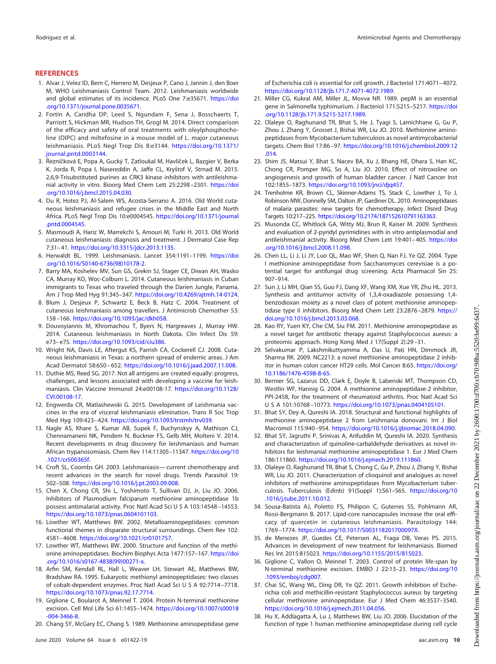#### <span id="page-11-0"></span>**REFERENCES**

- 1. Alvar J, Velez ID, Bern C, Herrero M, Desjeux P, Cano J, Jannin J, den Boer M, WHO Leishmaniasis Control Team. 2012. Leishmaniasis worldwide and global estimates of its incidence. PLoS One 7:e35671. [https://doi](https://doi.org/10.1371/journal.pone.0035671) [.org/10.1371/journal.pone.0035671.](https://doi.org/10.1371/journal.pone.0035671)
- <span id="page-11-1"></span>2. Fortin A, Caridha DP, Leed S, Ngundam F, Sena J, Bosschaerts T, Parriott S, Hickman MR, Hudson TH, Grogl M. 2014. Direct comparison of the efficacy and safety of oral treatments with oleylphosphocholine (OlPC) and miltefosine in a mouse model of L. major cutaneous leishmaniasis. PLoS Negl Trop Dis 8:e3144. [https://doi.org/10.1371/](https://doi.org/10.1371/journal.pntd.0003144) [journal.pntd.0003144.](https://doi.org/10.1371/journal.pntd.0003144)
- <span id="page-11-2"></span>3. Řezníčková E, Popa A, Gucký T, Zatloukal M, Havlíček L, Bazgier V, Berka K, Jorda R, Popa I, Nasereddin A, Jaffe CL, Kryštof V, Strnad M. 2015. 2,6,9-Trisubstituted purines as CRK3 kinase inhibitors with antileishmanial activity in vitro. Bioorg Med Chem Lett 25:2298 –2301. [https://doi](https://doi.org/10.1016/j.bmcl.2015.04.030) [.org/10.1016/j.bmcl.2015.04.030.](https://doi.org/10.1016/j.bmcl.2015.04.030)
- <span id="page-11-3"></span>4. Du R, Hotez PJ, Al-Salem WS, Acosta-Serrano A. 2016. Old World cutaneous leishmaniasis and refugee crises in the Middle East and North Africa. PLoS Negl Trop Dis 10:e0004545. [https://doi.org/10.1371/journal](https://doi.org/10.1371/journal.pntd.0004545) [.pntd.0004545.](https://doi.org/10.1371/journal.pntd.0004545)
- <span id="page-11-4"></span>5. Masmoudi A, Hariz W, Marrekchi S, Amouri M, Turki H. 2013. Old World cutaneous leishmaniasis: diagnosis and treatment. J Dermatol Case Rep 7:31– 41. [https://doi.org/10.3315/jdcr.2013.1135.](https://doi.org/10.3315/jdcr.2013.1135)
- <span id="page-11-6"></span><span id="page-11-5"></span>6. Herwaldt BL. 1999. Leishmaniasis. Lancet 354:1191–1199. [https://doi](https://doi.org/10.1016/S0140-6736(98)10178-2) [.org/10.1016/S0140-6736\(98\)10178-2.](https://doi.org/10.1016/S0140-6736(98)10178-2)
- 7. Barry MA, Koshelev MV, Sun GS, Grekin SJ, Stager CE, Diwan AH, Wasko CA, Murray KO, Woc-Colburn L. 2014. Cutaneous leishmaniasis in Cuban immigrants to Texas who traveled through the Darien Jungle, Panama. Am J Trop Med Hyg 91:345–347. [https://doi.org/10.4269/ajtmh.14-0124.](https://doi.org/10.4269/ajtmh.14-0124)
- 8. Blum J, Desjeux P, Schwartz E, Beck B, Hatz C. 2004. Treatment of cutaneous leishmaniasis among travellers. J Antimicrob Chemother 53: 158 –166. [https://doi.org/10.1093/jac/dkh058.](https://doi.org/10.1093/jac/dkh058)
- <span id="page-11-7"></span>9. Douvoyiannis M, Khromachou T, Byers N, Hargreaves J, Murray HW. 2014. Cutaneous leishmaniasis in North Dakota. Clin Infect Dis 59: e73– e75. [https://doi.org/10.1093/cid/ciu386.](https://doi.org/10.1093/cid/ciu386)
- <span id="page-11-8"></span>10. Wright NA, Davis LE, Aftergut KS, Parrish CA, Cockerell CJ. 2008. Cutaneous leishmaniasis in Texas: a northern spread of endemic areas. J Am Acad Dermatol 58:650 – 652. [https://doi.org/10.1016/j.jaad.2007.11.008.](https://doi.org/10.1016/j.jaad.2007.11.008)
- <span id="page-11-9"></span>11. Duthie MS, Reed SG. 2017. Not all antigens are created equally: progress, challenges, and lessons associated with developing a vaccine for leishmaniasis. Clin Vaccine Immunol 24:e00108-17. [https://doi.org/10.1128/](https://doi.org/10.1128/CVI.00108-17) [CVI.00108-17.](https://doi.org/10.1128/CVI.00108-17)
- <span id="page-11-10"></span>12. Engwerda CR, Matlashewski G. 2015. Development of Leishmania vaccines in the era of visceral leishmaniasis elimination. Trans R Soc Trop Med Hyg 109:423– 424. [https://doi.org/10.1093/trstmh/trv039.](https://doi.org/10.1093/trstmh/trv039)
- <span id="page-11-11"></span>13. Nagle AS, Khare S, Kumar AB, Supek F, Buchynskyy A, Mathison CJ, Chennamaneni NK, Pendem N, Buckner FS, Gelb MH, Molteni V. 2014. Recent developments in drug discovery for leishmaniasis and human African trypanosomiasis. Chem Rev 114:11305–11347. [https://doi.org/10](https://doi.org/10.1021/cr500365f) [.1021/cr500365f.](https://doi.org/10.1021/cr500365f)
- <span id="page-11-13"></span><span id="page-11-12"></span>14. Croft SL, Coombs GH. 2003. Leishmaniasis— current chemotherapy and recent advances in the search for novel drugs. Trends Parasitol 19: 502–508. [https://doi.org/10.1016/j.pt.2003.09.008.](https://doi.org/10.1016/j.pt.2003.09.008)
- 15. Chen X, Chong CR, Shi L, Yoshimoto T, Sullivan DJ, Jr, Liu JO. 2006. Inhibitors of Plasmodium falciparum methionine aminopeptidase 1b possess antimalarial activity. Proc Natl Acad Sci U S A 103:14548-14553. [https://doi.org/10.1073/pnas.0604101103.](https://doi.org/10.1073/pnas.0604101103)
- <span id="page-11-15"></span><span id="page-11-14"></span>16. Lowther WT, Matthews BW. 2002. Metalloaminopeptidases: common functional themes in disparate structural surroundings. Chem Rev 102: 4581– 4608. [https://doi.org/10.1021/cr0101757.](https://doi.org/10.1021/cr0101757)
- <span id="page-11-16"></span>17. Lowther WT, Matthews BW. 2000. Structure and function of the methionine aminopeptidases. Biochim Biophys Acta 1477:157–167. [https://doi](https://doi.org/10.1016/s0167-4838(99)00271-x) [.org/10.1016/s0167-4838\(99\)00271-x.](https://doi.org/10.1016/s0167-4838(99)00271-x)
- 18. Arfin SM, Kendall RL, Hall L, Weaver LH, Stewart AE, Matthews BW, Bradshaw RA. 1995. Eukaryotic methionyl aminopeptidases: two classes of cobalt-dependent enzymes. Proc Natl Acad Sci U S A 92:7714-7718. [https://doi.org/10.1073/pnas.92.17.7714.](https://doi.org/10.1073/pnas.92.17.7714)
- <span id="page-11-18"></span><span id="page-11-17"></span>19. Giglione C, Boularot A, Meinnel T. 2004. Protein N-terminal methionine excision. Cell Mol Life Sci 61:1455–1474. [https://doi.org/10.1007/s00018](https://doi.org/10.1007/s00018-004-3466-8)  $-004 - 3466 - 8$
- 20. Chang SY, McGary EC, Chang S. 1989. Methionine aminopeptidase gene

of Escherichia coli is essential for cell growth. J Bacteriol 171:4071– 4072. [https://doi.org/10.1128/jb.171.7.4071-4072.1989.](https://doi.org/10.1128/jb.171.7.4071-4072.1989)

- <span id="page-11-19"></span>21. Miller CG, Kukral AM, Miller JL, Movva NR. 1989. pepM is an essential gene in Salmonella typhimurium. J Bacteriol 171:5215–5217. [https://doi](https://doi.org/10.1128/jb.171.9.5215-5217.1989) [.org/10.1128/jb.171.9.5215-5217.1989.](https://doi.org/10.1128/jb.171.9.5215-5217.1989)
- <span id="page-11-20"></span>22. Olaleye O, Raghunand TR, Bhat S, He J, Tyagi S, Lamichhane G, Gu P, Zhou J, Zhang Y, Grosset J, Bishai WR, Liu JO. 2010. Methionine aminopeptidases from Mycobacterium tuberculosis as novel antimycobacterial targets. Chem Biol 17:86 –97. [https://doi.org/10.1016/j.chembiol.2009.12](https://doi.org/10.1016/j.chembiol.2009.12.014) [.014.](https://doi.org/10.1016/j.chembiol.2009.12.014)
- <span id="page-11-21"></span>23. Shim JS, Matsui Y, Bhat S, Nacev BA, Xu J, Bhang HE, Dhara S, Han KC, Chong CR, Pomper MG, So A, Liu JO. 2010. Effect of nitroxoline on angiogenesis and growth of human bladder cancer. J Natl Cancer Inst 102:1855–1873. [https://doi.org/10.1093/jnci/djq457.](https://doi.org/10.1093/jnci/djq457)
- <span id="page-11-30"></span>24. Trenholme KR, Brown CL, Skinner-Adams TS, Stack C, Lowther J, To J, Robinson MW, Donnelly SM, Dalton JP, Gardiner DL. 2010. Aminopeptidases of malaria parasites: new targets for chemotherapy. Infect Disord Drug Targets 10:217–225. [https://doi.org/10.2174/187152610791163363.](https://doi.org/10.2174/187152610791163363)
- 25. Musonda CC, Whitlock GA, Witty MJ, Brun R, Kaiser M. 2009. Synthesis and evaluation of 2-pyridyl pyrimidines with in vitro antiplasmodial and antileishmanial activity. Bioorg Med Chem Lett 19:401– 405. [https://doi](https://doi.org/10.1016/j.bmcl.2008.11.098) [.org/10.1016/j.bmcl.2008.11.098.](https://doi.org/10.1016/j.bmcl.2008.11.098)
- <span id="page-11-34"></span>26. Chen LL, Li J, Li JY, Luo QL, Mao WF, Shen Q, Nan FJ, Ye QZ. 2004. Type I methionine aminopeptidase from Saccharomyces cerevisiae is a potential target for antifungal drug screening. Acta Pharmacol Sin 25: 907–914.
- 27. Sun J, Li MH, Qian SS, Guo FJ, Dang XF, Wang XM, Xue YR, Zhu HL. 2013. Synthesis and antitumor activity of 1,3,4-oxadiazole possessing 1,4 benzodioxan moiety as a novel class of potent methionine aminopeptidase type II inhibitors. Bioorg Med Chem Lett 23:2876 –2879. [https://](https://doi.org/10.1016/j.bmcl.2013.03.068) [doi.org/10.1016/j.bmcl.2013.03.068.](https://doi.org/10.1016/j.bmcl.2013.03.068)
- <span id="page-11-31"></span>28. Kao RY, Yuen KY, Che CM, Siu FM. 2011. Methionine aminopeptidase as a novel target for antibiotic therapy against Staphylococcus aureus: a proteomic approach. Hong Kong Med J 17(Suppl 2):29 –31.
- <span id="page-11-22"></span>29. Selvakumar P, Lakshmikuttyamma A, Das U, Pati HN, Dimmock JR, Sharma RK. 2009. NC2213: a novel methionine aminopeptidase 2 inhibitor in human colon cancer HT29 cells. Mol Cancer 8:65. [https://doi.org/](https://doi.org/10.1186/1476-4598-8-65) [10.1186/1476-4598-8-65.](https://doi.org/10.1186/1476-4598-8-65)
- <span id="page-11-23"></span>30. Bernier SG, Lazarus DD, Clark E, Doyle B, Labenski MT, Thompson CD, Westlin WF, Hannig G. 2004. A methionine aminopeptidase-2 inhibitor, PPI-2458, for the treatment of rheumatoid arthritis. Proc Natl Acad Sci U S A 101:10768 –10773. [https://doi.org/10.1073/pnas.0404105101.](https://doi.org/10.1073/pnas.0404105101)
- <span id="page-11-25"></span><span id="page-11-24"></span>31. Bhat SY, Dey A, Qureshi IA. 2018. Structural and functional highlights of methionine aminopeptidase 2 from Leishmania donovani. Int J Biol Macromol 115:940 –954. [https://doi.org/10.1016/j.ijbiomac.2018.04.090.](https://doi.org/10.1016/j.ijbiomac.2018.04.090)
- 32. Bhat SY, Jagruthi P, Srinivas A, Arifuddin M, Qureshi IA. 2020. Synthesis and characterization of quinoline-carbaldehyde derivatives as novel inhibitors for leishmanial methionine aminopeptidase 1. Eur J Med Chem 186:111860. [https://doi.org/10.1016/j.ejmech.2019.111860.](https://doi.org/10.1016/j.ejmech.2019.111860)
- <span id="page-11-26"></span>33. Olaleye O, Raghunand TR, Bhat S, Chong C, Gu P, Zhou J, Zhang Y, Bishai WR, Liu JO. 2011. Characterization of clioquinol and analogues as novel inhibitors of methionine aminopeptidases from Mycobacterium tuberculosis. Tuberculosis (Edinb) 91(Suppl 1):S61–S65. [https://doi.org/10](https://doi.org/10.1016/j.tube.2011.10.012) [.1016/j.tube.2011.10.012.](https://doi.org/10.1016/j.tube.2011.10.012)
- <span id="page-11-27"></span>34. Sousa-Batista AJ, Poletto FS, Philipon C, Guterres SS, Pohlmann AR, Rossi-Bergmann B. 2017. Lipid-core nanocapsules increase the oral efficacy of quercetin in cutaneous leishmaniasis. Parasitology 144: 1769 –1774. [https://doi.org/10.1017/S003118201700097X.](https://doi.org/10.1017/S003118201700097X)
- <span id="page-11-29"></span><span id="page-11-28"></span>35. de Menezes JP, Guedes CE, Petersen AL, Fraga DB, Veras PS. 2015. Advances in development of new treatment for leishmaniasis. Biomed Res Int 2015:815023. [https://doi.org/10.1155/2015/815023.](https://doi.org/10.1155/2015/815023)
- <span id="page-11-32"></span>36. Giglione C, Vallon O, Meinnel T. 2003. Control of protein life-span by N-terminal methionine excision. EMBO J 22:13–23. [https://doi.org/10](https://doi.org/10.1093/emboj/cdg007) [.1093/emboj/cdg007.](https://doi.org/10.1093/emboj/cdg007)
- 37. Chai SC, Wang WL, Ding DR, Ye QZ. 2011. Growth inhibition of Escherichia coli and methicillin-resistant Staphylococcus aureus by targeting cellular methionine aminopeptidase. Eur J Med Chem 46:3537–3540. [https://doi.org/10.1016/j.ejmech.2011.04.056.](https://doi.org/10.1016/j.ejmech.2011.04.056)
- <span id="page-11-33"></span>38. Hu X, Addlagatta A, Lu J, Matthews BW, Liu JO. 2006. Elucidation of the function of type 1 human methionine aminopeptidase during cell cycle